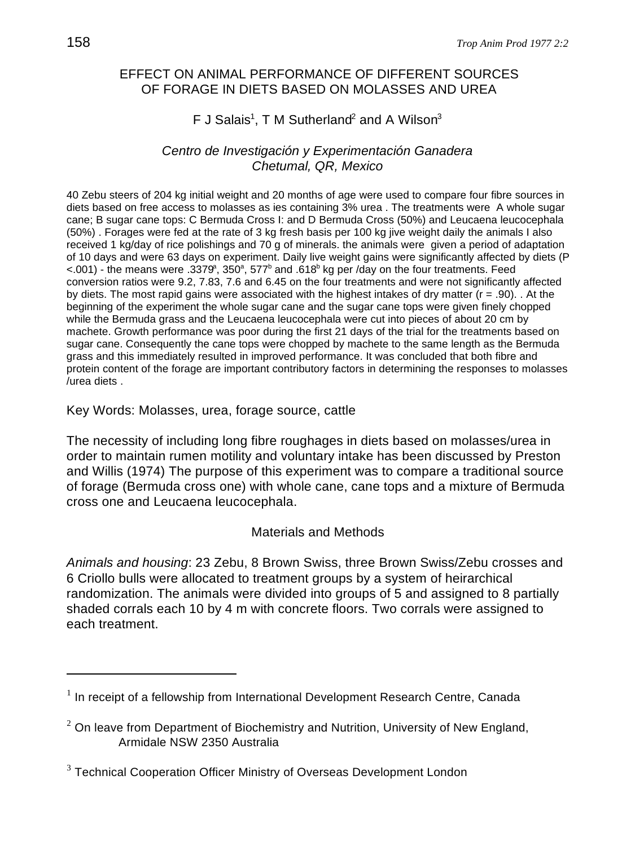# EFFECT ON ANIMAL PERFORMANCE OF DIFFERENT SOURCES OF FORAGE IN DIETS BASED ON MOLASSES AND UREA

# F J Salais<sup>1</sup>, T M Sutherland<sup>2</sup> and A Wilson<sup>3</sup>

## *Centro de Investigación y Experimentación Ganadera Chetumal, QR, Mexico*

40 Zebu steers of 204 kg initial weight and 20 months of age were used to compare four fibre sources in diets based on free access to molasses as ies containing 3% urea . The treatments were A whole sugar cane; B sugar cane tops: C Bermuda Cross I: and D Bermuda Cross (50%) and Leucaena leucocephala (50%) . Forages were fed at the rate of 3 kg fresh basis per 100 kg jive weight daily the animals I also received 1 kg/day of rice polishings and 70 g of minerals. the animals were given a period of adaptation of 10 days and were 63 days on experiment. Daily live weight gains were significantly affected by diets (P  $< 0.001$ ) - the means were .3379, 350<sup>a</sup>, 577<sup>b</sup> and .618<sup>b</sup> kg per /day on the four treatments. Feed conversion ratios were 9.2, 7.83, 7.6 and 6.45 on the four treatments and were not significantly affected by diets. The most rapid gains were associated with the highest intakes of dry matter ( $r = .90$ ). . At the beginning of the experiment the whole sugar cane and the sugar cane tops were given finely chopped while the Bermuda grass and the Leucaena leucocephala were cut into pieces of about 20 cm by machete. Growth performance was poor during the first 21 days of the trial for the treatments based on sugar cane. Consequently the cane tops were chopped by machete to the same length as the Bermuda grass and this immediately resulted in improved performance. It was concluded that both fibre and protein content of the forage are important contributory factors in determining the responses to molasses /urea diets .

Key Words: Molasses, urea, forage source, cattle

The necessity of including long fibre roughages in diets based on molasses/urea in order to maintain rumen motility and voluntary intake has been discussed by Preston and Willis (1974) The purpose of this experiment was to compare a traditional source of forage (Bermuda cross one) with whole cane, cane tops and a mixture of Bermuda cross one and Leucaena leucocephala.

# Materials and Methods

*Animals and housing*: 23 Zebu, 8 Brown Swiss, three Brown Swiss/Zebu crosses and 6 Criollo bulls were allocated to treatment groups by a system of heirarchical randomization. The animals were divided into groups of 5 and assigned to 8 partially shaded corrals each 10 by 4 m with concrete floors. Two corrals were assigned to each treatment.

 $1$  In receipt of a fellowship from International Development Research Centre, Canada

 $2$  On leave from Department of Biochemistry and Nutrition, University of New England, Armidale NSW 2350 Australia

 $3$  Technical Cooperation Officer Ministry of Overseas Development London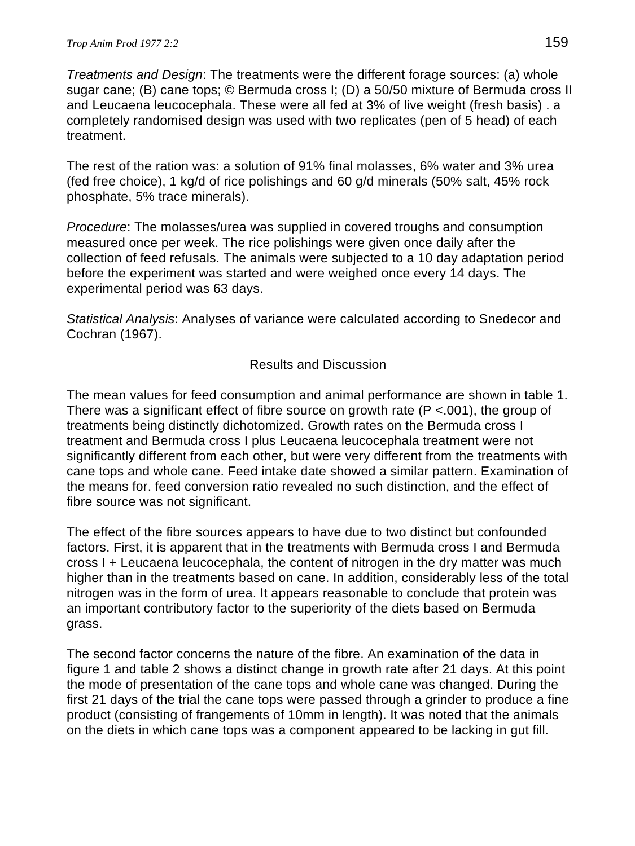*Treatments and Design*: The treatments were the different forage sources: (a) whole sugar cane; (B) cane tops; © Bermuda cross I; (D) a 50/50 mixture of Bermuda cross II and Leucaena leucocephala. These were all fed at 3% of live weight (fresh basis) . a completely randomised design was used with two replicates (pen of 5 head) of each treatment.

The rest of the ration was: a solution of 91% final molasses, 6% water and 3% urea (fed free choice), 1 kg/d of rice polishings and 60 g/d minerals (50% salt, 45% rock phosphate, 5% trace minerals).

*Procedure*: The molasses/urea was supplied in covered troughs and consumption measured once per week. The rice polishings were given once daily after the collection of feed refusals. The animals were subjected to a 10 day adaptation period before the experiment was started and were weighed once every 14 days. The experimental period was 63 days.

*Statistical Analysis*: Analyses of variance were calculated according to Snedecor and Cochran (1967).

# Results and Discussion

The mean values for feed consumption and animal performance are shown in table 1. There was a significant effect of fibre source on growth rate  $(P < .001)$ , the group of treatments being distinctly dichotomized. Growth rates on the Bermuda cross I treatment and Bermuda cross I plus Leucaena leucocephala treatment were not significantly different from each other, but were very different from the treatments with cane tops and whole cane. Feed intake date showed a similar pattern. Examination of the means for. feed conversion ratio revealed no such distinction, and the effect of fibre source was not significant.

The effect of the fibre sources appears to have due to two distinct but confounded factors. First, it is apparent that in the treatments with Bermuda cross I and Bermuda cross I + Leucaena leucocephala, the content of nitrogen in the dry matter was much higher than in the treatments based on cane. In addition, considerably less of the total nitrogen was in the form of urea. It appears reasonable to conclude that protein was an important contributory factor to the superiority of the diets based on Bermuda grass.

The second factor concerns the nature of the fibre. An examination of the data in figure 1 and table 2 shows a distinct change in growth rate after 21 days. At this point the mode of presentation of the cane tops and whole cane was changed. During the first 21 days of the trial the cane tops were passed through a grinder to produce a fine product (consisting of frangements of 10mm in length). It was noted that the animals on the diets in which cane tops was a component appeared to be lacking in gut fill.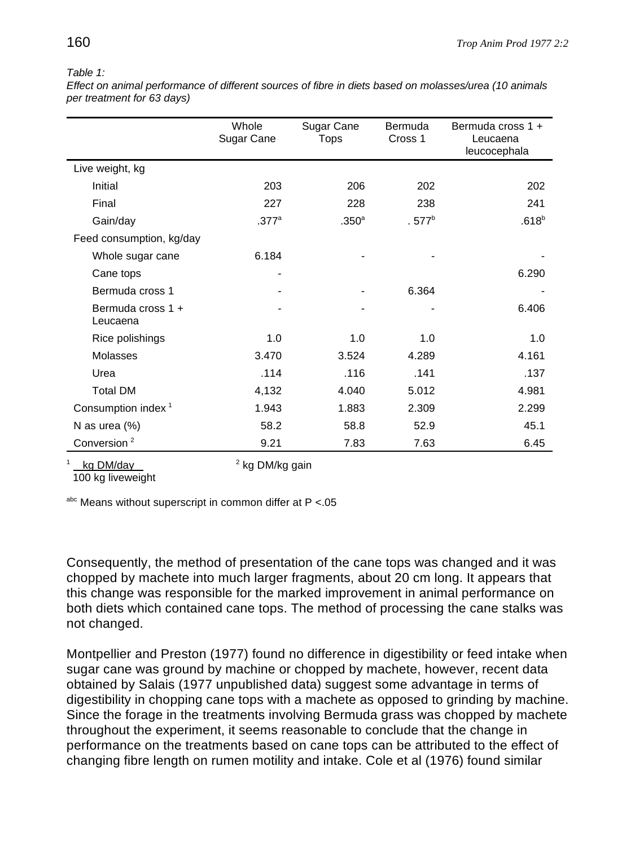#### *Table 1:*

*Effect on animal performance of different sources of fibre in diets based on molasses/urea (10 animals per treatment for 63 days)* 

|                                | Whole<br>Sugar Cane | Sugar Cane<br>Tops | <b>Bermuda</b><br>Cross 1 | Bermuda cross 1 +<br>Leucaena<br>leucocephala |
|--------------------------------|---------------------|--------------------|---------------------------|-----------------------------------------------|
| Live weight, kg                |                     |                    |                           |                                               |
| Initial                        | 203                 | 206                | 202                       | 202                                           |
| Final                          | 227                 | 228                | 238                       | 241                                           |
| Gain/day                       | $.377$ <sup>a</sup> | .350 <sup>a</sup>  | $.577^b$                  | $.618^{b}$                                    |
| Feed consumption, kg/day       |                     |                    |                           |                                               |
| Whole sugar cane               | 6.184               |                    |                           |                                               |
| Cane tops                      |                     |                    |                           | 6.290                                         |
| Bermuda cross 1                |                     |                    | 6.364                     | -                                             |
| Bermuda cross 1 +<br>Leucaena  |                     |                    |                           | 6.406                                         |
| Rice polishings                | 1.0                 | 1.0                | 1.0                       | 1.0                                           |
| <b>Molasses</b>                | 3.470               | 3.524              | 4.289                     | 4.161                                         |
| Urea                           | .114                | .116               | .141                      | .137                                          |
| <b>Total DM</b>                | 4,132               | 4.040              | 5.012                     | 4.981                                         |
| Consumption index <sup>1</sup> | 1.943               | 1.883              | 2.309                     | 2.299                                         |
| N as urea (%)                  | 58.2                | 58.8               | 52.9                      | 45.1                                          |
| Conversion <sup>2</sup>        | 9.21                | 7.83               | 7.63                      | 6.45                                          |

```
4 \times 2 kg DM/day 4 \times 2 kg DM/kg gain
```
100 kg liveweight

 $a$ <sub>hc</sub> Means without superscript in common differ at P <.05

Consequently, the method of presentation of the cane tops was changed and it was chopped by machete into much larger fragments, about 20 cm long. It appears that this change was responsible for the marked improvement in animal performance on both diets which contained cane tops. The method of processing the cane stalks was not changed.

Montpellier and Preston (1977) found no difference in digestibility or feed intake when sugar cane was ground by machine or chopped by machete, however, recent data obtained by Salais (1977 unpublished data) suggest some advantage in terms of digestibility in chopping cane tops with a machete as opposed to grinding by machine. Since the forage in the treatments involving Bermuda grass was chopped by machete throughout the experiment, it seems reasonable to conclude that the change in performance on the treatments based on cane tops can be attributed to the effect of changing fibre length on rumen motility and intake. Cole et al (1976) found similar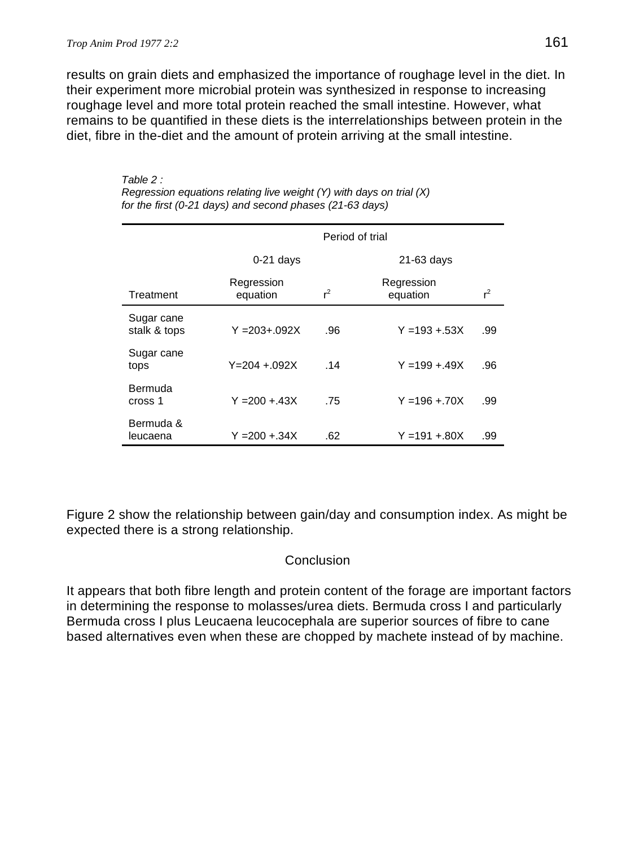### *Trop Anim Prod 1977 2:2* 161

results on grain diets and emphasized the importance of roughage level in the diet. In their experiment more microbial protein was synthesized in response to increasing roughage level and more total protein reached the small intestine. However, what remains to be quantified in these diets is the interrelationships between protein in the diet, fibre in the-diet and the amount of protein arriving at the small intestine.

|                            |                        | Period of trial |                        |       |  |  |
|----------------------------|------------------------|-----------------|------------------------|-------|--|--|
|                            | $0-21$ days            |                 | $21-63$ days           |       |  |  |
| Treatment                  | Regression<br>equation | $r^2$           | Regression<br>equation | $r^2$ |  |  |
| Sugar cane<br>stalk & tops | $Y = 203 + 0.092X$     | .96             | $Y = 193 + 53X$        | .99   |  |  |
| Sugar cane<br>tops         | $Y = 204 + 092X$       | .14             | $Y = 199 + 49X$        | .96   |  |  |
| Bermuda<br>cross 1         | $Y = 200 + 43X$        | .75             | $Y = 196 + 70X$        | .99   |  |  |
| Bermuda &<br>leucaena      | Y =200 +.34X           | .62             | $Y = 191 + 80X$        | .99   |  |  |

*Table 2 : Regression equations relating live weight (Y) with days on trial (X) for the first (0-21 days) and second phases (21-63 days)*

Figure 2 show the relationship between gain/day and consumption index. As might be expected there is a strong relationship.

### **Conclusion**

It appears that both fibre length and protein content of the forage are important factors in determining the response to molasses/urea diets. Bermuda cross I and particularly Bermuda cross I plus Leucaena leucocephala are superior sources of fibre to cane based alternatives even when these are chopped by machete instead of by machine.